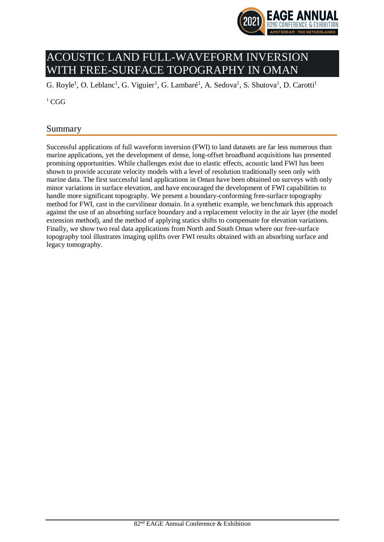

# ACOUSTIC LAND FULL-WAVEFORM INVERSION WITH FREE-SURFACE TOPOGRAPHY IN OMAN

G. Royle<sup>1</sup>, O. Leblanc<sup>1</sup>, G. Viguier<sup>1</sup>, G. Lambaré<sup>1</sup>, A. Sedova<sup>1</sup>, S. Shutova<sup>1</sup>, D. Carotti<sup>1</sup>

 ${}^{1}$  CGG

# Summary

Successful applications of full waveform inversion (FWI) to land datasets are far less numerous than marine applications, yet the development of dense, long-offset broadband acquisitions has presented promising opportunities. While challenges exist due to elastic effects, acoustic land FWI has been shown to provide accurate velocity models with a level of resolution traditionally seen only with marine data. The first successful land applications in Oman have been obtained on surveys with only minor variations in surface elevation, and have encouraged the development of FWI capabilities to handle more significant topography. We present a boundary-conforming free-surface topography method for FWI, cast in the curvilinear domain. In a synthetic example, we benchmark this approach against the use of an absorbing surface boundary and a replacement velocity in the air layer (the model extension method), and the method of applying statics shifts to compensate for elevation variations. Finally, we show two real data applications from North and South Oman where our free-surface topography tool illustrates imaging uplifts over FWI results obtained with an absorbing surface and legacy tomography.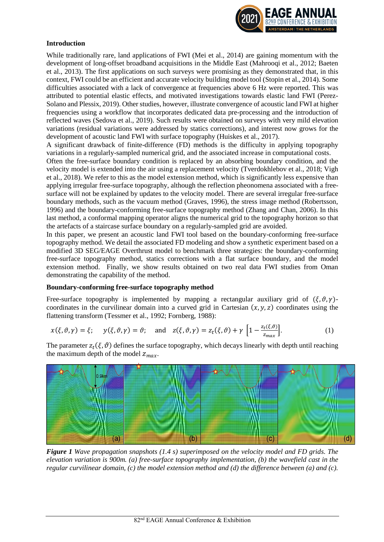

## **Introduction**

While traditionally rare, land applications of FWI (Mei et al., 2014) are gaining momentum with the development of long-offset broadband acquisitions in the Middle East (Mahrooqi et al., 2012; Baeten et al., 2013). The first applications on such surveys were promising as they demonstrated that, in this context, FWI could be an efficient and accurate velocity building model tool (Stopin et al., 2014). Some difficulties associated with a lack of convergence at frequencies above 6 Hz were reported. This was attributed to potential elastic effects, and motivated investigations towards elastic land FWI (Perez-Solano and Plessix, 2019). Other studies, however, illustrate convergence of acoustic land FWI at higher frequencies using a workflow that incorporates dedicated data pre-processing and the introduction of reflected waves (Sedova et al., 2019). Such results were obtained on surveys with very mild elevation variations (residual variations were addressed by statics corrections), and interest now grows for the development of acoustic land FWI with surface topography (Huiskes et al., 2017).

A significant drawback of finite-difference (FD) methods is the difficulty in applying topography variations in a regularly-sampled numerical grid, and the associated increase in computational costs.

Often the free-surface boundary condition is replaced by an absorbing boundary condition, and the velocity model is extended into the air using a replacement velocity (Tverdokhlebov et al., 2018; Vigh et al., 2018). We refer to this as the model extension method, which is significantly less expensive than applying irregular free-surface topography, although the reflection pheonomena associated with a freesurface will not be explained by updates to the velocity model. There are several irregular free-surface boundary methods, such as the vacuum method (Graves, 1996), the stress image method (Robertsson, 1996) and the boundary-conforming free-surface topography method (Zhang and Chan, 2006). In this last method, a conformal mapping operator aligns the numerical grid to the topography horizon so that the artefacts of a staircase surface boundary on a regularly-sampled grid are avoided.

In this paper, we present an acoustic land FWI tool based on the boundary-conforming free-surface topography method. We detail the associated FD modeling and show a synthetic experiment based on a modified 3D SEG/EAGE Overthrust model to benchmark three strategies: the boundary-conforming free-surface topography method, statics corrections with a flat surface boundary, and the model extension method. Finally, we show results obtained on two real data FWI studies from Oman demonstrating the capability of the method.

#### **Boundary-conforming free-surface topography method**

Free-surface topography is implemented by mapping a rectangular auxiliary grid of  $(\xi, \vartheta, \gamma)$ coordinates in the curvilinear domain into a curved grid in Cartesian  $(x, y, z)$  coordinates using the flattening transform (Tessmer et al., 1992; Fornberg, 1988):

$$
x(\xi, \vartheta, \gamma) = \xi; \quad y(\xi, \vartheta, \gamma) = \vartheta; \quad \text{and} \quad z(\xi, \vartheta, \gamma) = z_t(\xi, \vartheta) + \gamma \left[ 1 - \frac{z_t(\xi, \vartheta)}{z_{\text{max}}} \right]. \tag{1}
$$

The parameter  $z_t(\xi, \vartheta)$  defines the surface topography, which decays linearly with depth until reaching the maximum depth of the model  $z_{max}$ .



*Figure 1 Wave propagation snapshots (1.4 s) superimposed on the velocity model and FD grids. The elevation variation is 900m. (a) free-surface topography implementation, (b) the wavefield cast in the regular curvilinear domain, (c) the model extension method and (d) the difference between (a) and (c).*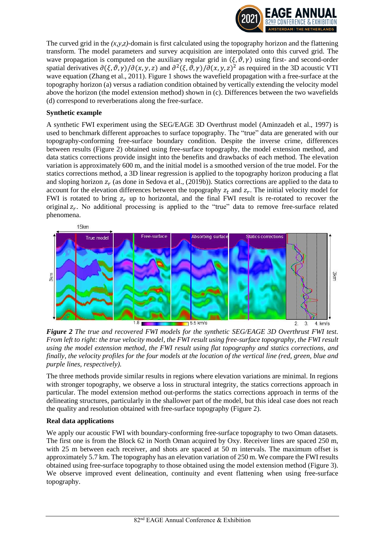

The curved grid in the  $(x, y, z)$ -domain is first calculated using the topography horizon and the flattening transform. The model parameters and survey acquisition are interpolated onto this curved grid. The wave propagation is computed on the auxiliary regular grid in  $(\xi, \vartheta, \gamma)$  using first- and second-order spatial derivatives  $\partial(\xi, \vartheta, \gamma)/\partial(x, y, z)$  and  $\partial^2(\xi, \vartheta, \gamma)/\partial(x, y, z)^2$  as required in the 3D acoustic VTI wave equation (Zhang et al., 2011). Figure 1 shows the wavefield propagation with a free-surface at the topography horizon (a) versus a radiation condition obtained by vertically extending the velocity model above the horizon (the model extension method) shown in (c). Differences between the two wavefields (d) correspond to reverberations along the free-surface.

#### **Synthetic example**

A synthetic FWI experiment using the SEG/EAGE 3D Overthrust model (Aminzadeh et al., 1997) is used to benchmark different approaches to surface topography. The "true" data are generated with our topography-conforming free-surface boundary condition. Despite the inverse crime, differences between results (Figure 2) obtained using free-surface topography, the model extension method, and data statics corrections provide insight into the benefits and drawbacks of each method. The elevation variation is approximately 600 m, and the initial model is a smoothed version of the true model. For the statics corrections method, a 3D linear regression is applied to the topography horizon producing a flat and sloping horizon  $z_r$  (as done in Sedova et al., (2019b)). Statics corrections are applied to the data to account for the elevation differences between the topography  $z_t$  and  $z_r$ . The initial velocity model for FWI is rotated to bring  $z_r$  up to horizontal, and the final FWI result is re-rotated to recover the original  $z_r$ . No additional processing is applied to the "true" data to remove free-surface related phenomena.



*Figure 2 The true and recovered FWI models for the synthetic SEG/EAGE 3D Overthrust FWI test. From left to right: the true velocity model, the FWI result using free-surface topography, the FWI result using the model extension method, the FWI result using flat topography and statics corrections, and finally, the velocity profiles for the four models at the location of the vertical line (red, green, blue and purple lines, respectively).* 

The three methods provide similar results in regions where elevation variations are minimal. In regions with stronger topography, we observe a loss in structural integrity, the statics corrections approach in particular. The model extension method out-performs the statics corrections approach in terms of the delineating structures, particularly in the shallower part of the model, but this ideal case does not reach the quality and resolution obtained with free-surface topography (Figure 2).

#### **Real data applications**

We apply our acoustic FWI with boundary-conforming free-surface topography to two Oman datasets. The first one is from the Block 62 in North Oman acquired by Oxy. Receiver lines are spaced 250 m, with 25 m between each receiver, and shots are spaced at 50 m intervals. The maximum offset is approximately 5.7 km. The topography has an elevation variation of 250 m. We compare the FWI results obtained using free-surface topography to those obtained using the model extension method (Figure 3). We observe improved event delineation, continuity and event flattening when using free-surface topography.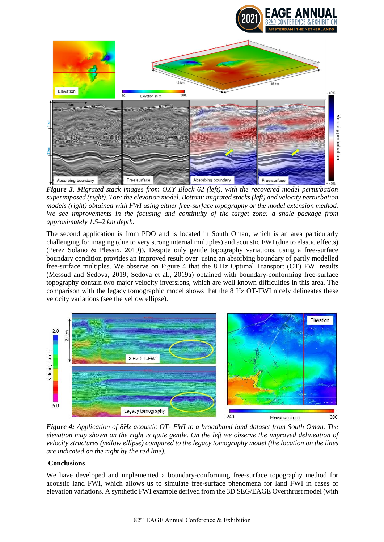

*Figure 3. Migrated stack images from OXY Block 62 (left), with the recovered model perturbation superimposed (right). Top: the elevation model. Bottom: migrated stacks (left) and velocity perturbation models (right) obtained with FWI using either free-surface topography or the model extension method. We see improvements in the focusing and continuity of the target zone: a shale package from approximately 1.5–2 km depth.*

The second application is from PDO and is located in South Oman, which is an area particularly challenging for imaging (due to very strong internal multiples) and acoustic FWI (due to elastic effects) (Perez Solano & Plessix, 2019)). Despite only gentle topography variations, using a free-surface boundary condition provides an improved result over using an absorbing boundary of partly modelled free-surface multiples. We observe on Figure 4 that the 8 Hz Optimal Transport (OT) FWI results (Messud and Sedova, 2019; Sedova et al., 2019a) obtained with boundary-conforming free-surface topography contain two major velocity inversions, which are well known difficulties in this area. The comparison with the legacy tomographic model shows that the 8 Hz OT-FWI nicely delineates these velocity variations (see the yellow ellipse).



*Figure 4: Application of 8Hz acoustic OT- FWI to a broadband land dataset from South Oman. The elevation map shown on the right is quite gentle. On the left we observe the improved delineation of velocity structures (yellow ellipse) compared to the legacy tomography model (the location on the lines are indicated on the right by the red line).*

# **Conclusions**

We have developed and implemented a boundary-conforming free-surface topography method for acoustic land FWI, which allows us to simulate free-surface phenomena for land FWI in cases of elevation variations. A synthetic FWI example derived from the 3D SEG/EAGE Overthrust model (with